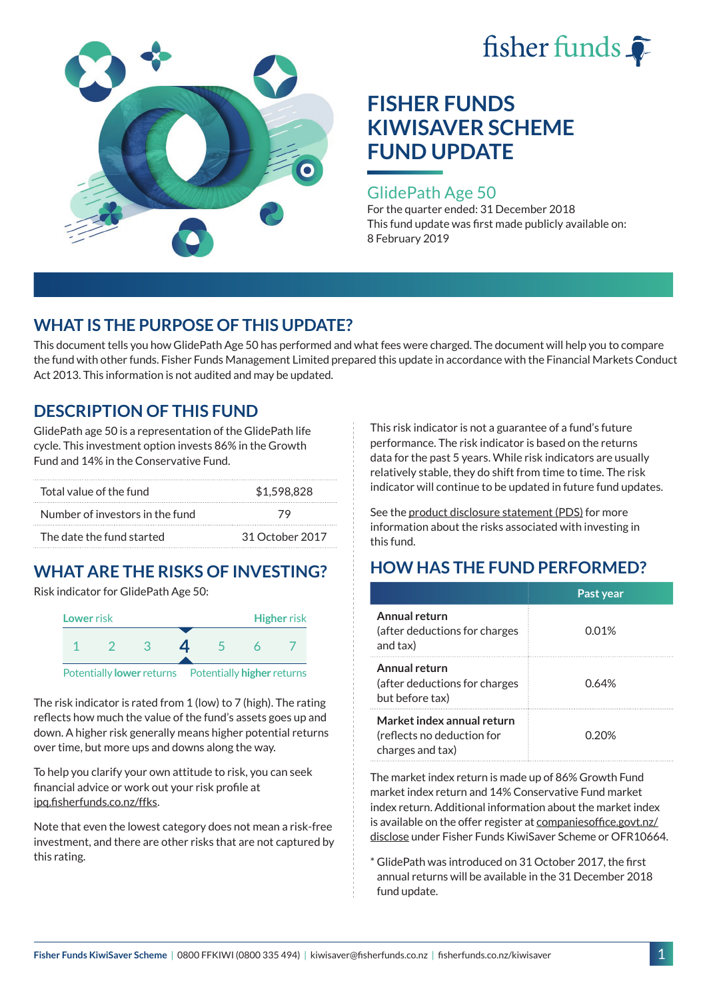



### GlidePath Age 50

For the quarter ended: 31 December 2018 This fund update was first made publicly available on: 8 February 2019

# **WHAT IS THE PURPOSE OF THIS UPDATE?**

This document tells you how GlidePath Age 50 has performed and what fees were charged. The document will help you to compare the fund with other funds. Fisher Funds Management Limited prepared this update in accordance with the Financial Markets Conduct Act 2013. This information is not audited and may be updated.

# **DESCRIPTION OF THIS FUND**

GlidePath age 50 is a representation of the GlidePath life cycle. This investment option invests 86% in the Growth Fund and 14% in the Conservative Fund.

| Total value of the fund         | \$1,598,828     |  |  |
|---------------------------------|-----------------|--|--|
| Number of investors in the fund | 79              |  |  |
| The date the fund started       | 31 October 2017 |  |  |

# **WHAT ARE THE RISKS OF INVESTING?**

Risk indicator for GlidePath Age 50:



The risk indicator is rated from 1 (low) to 7 (high). The rating reflects how much the value of the fund's assets goes up and down. A higher risk generally means higher potential returns over time, but more ups and downs along the way.

To help you clarify your own attitude to risk, you can seek financial advice or work out your risk profile at [ipq.fisherfunds.co.nz/ffks](https://ipq.fisherfunds.co.nz/ffks).

Note that even the lowest category does not mean a risk-free investment, and there are other risks that are not captured by this rating.

This risk indicator is not a guarantee of a fund's future performance. The risk indicator is based on the returns data for the past 5 years. While risk indicators are usually relatively stable, they do shift from time to time. The risk indicator will continue to be updated in future fund updates.

See the [product disclosure statement \(PDS\)](https://fisherfunds.co.nz/assets/PDS/Fisher-Funds-KiwiSaver-Scheme-PDS.pdf) for more information about the risks associated with investing in this fund.

# **HOW HAS THE FUND PERFORMED?**

|                                                                              | Past year    |
|------------------------------------------------------------------------------|--------------|
| Annual return<br>(after deductions for charges<br>and tax)                   | 0.01%        |
| Annual return<br>(after deductions for charges<br>but before tax)            | 0.64%        |
| Market index annual return<br>(reflects no deduction for<br>charges and tax) | <u>በ 20%</u> |

The market index return is made up of 86% Growth Fund market index return and 14% Conservative Fund market index return. Additional information about the market index is available on the offer register at [companiesoffice.govt.nz/](http://companiesoffice.govt.nz/disclose) [disclose](http://companiesoffice.govt.nz/disclose) under Fisher Funds KiwiSaver Scheme or OFR10664.

\* GlidePath was introduced on 31 October 2017, the first annual returns will be available in the 31 December 2018 fund update.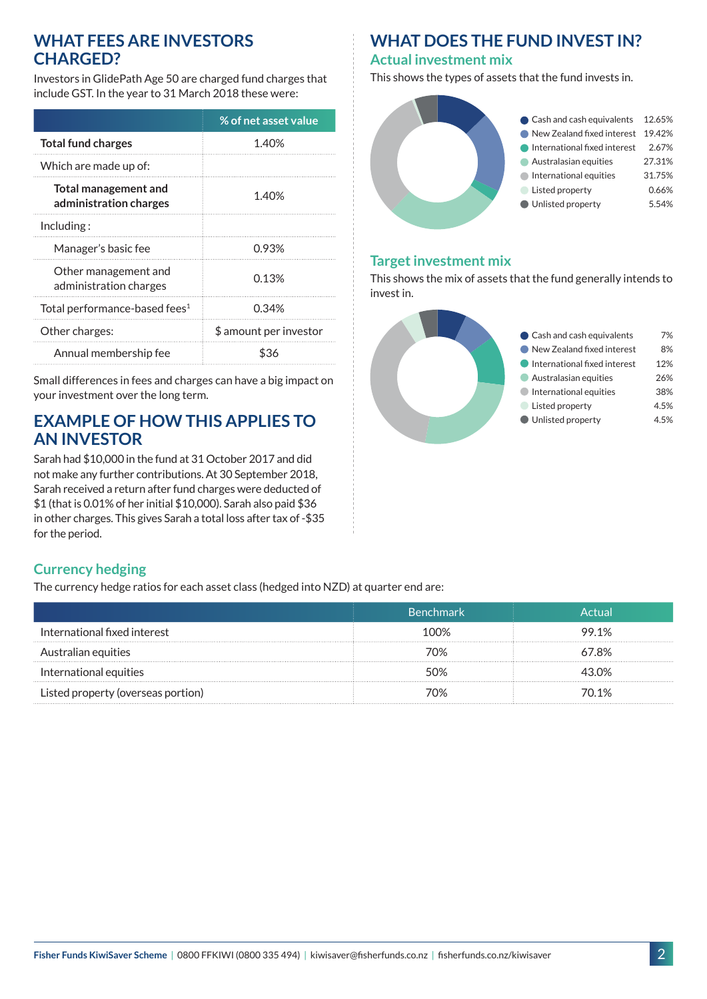### **WHAT FEES ARE INVESTORS CHARGED?**

Investors in GlidePath Age 50 are charged fund charges that include GST. In the year to 31 March 2018 these were:

|                                                       | % of net asset value   |  |
|-------------------------------------------------------|------------------------|--|
| <b>Total fund charges</b>                             | 1.40%                  |  |
| Which are made up of:                                 |                        |  |
| <b>Total management and</b><br>administration charges | 1.40%                  |  |
| Including:                                            |                        |  |
| Manager's basic fee                                   | 0.93%                  |  |
| Other management and<br>administration charges        | 0.13%                  |  |
| Total performance-based fees <sup>1</sup>             | 0.34%                  |  |
| Other charges:                                        | \$ amount per investor |  |
| Annual membership fee                                 |                        |  |

Small differences in fees and charges can have a big impact on your investment over the long term.

### **EXAMPLE OF HOW THIS APPLIES TO AN INVESTOR**

Sarah had \$10,000 in the fund at 31 October 2017 and did not make any further contributions. At 30 September 2018, Sarah received a return after fund charges were deducted of \$1 (that is 0.01% of her initial \$10,000). Sarah also paid \$36 in other charges. This gives Sarah a total loss after tax of -\$35 for the period.

# **WHAT DOES THE FUND INVEST IN?**

#### **Actual investment mix**

This shows the types of assets that the fund invests in.



#### **Target investment mix**

This shows the mix of assets that the fund generally intends to invest in.



### **Currency hedging**

The currency hedge ratios for each asset class (hedged into NZD) at quarter end are:

|                                    | نا Benchmark | Actual     |
|------------------------------------|--------------|------------|
| International fixed interest       | 100%         | 99.1%      |
| Australian equities                | 7በ%          | 67.8%      |
| International equities             | ናበ%          | <b>30%</b> |
| Listed property (overseas portion) | 70%          | 70.1%      |